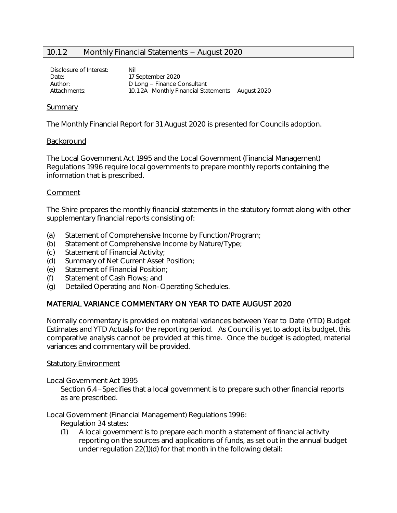# 10.1.2 Monthly Financial Statements - August 2020

Disclosure of Interest: Nil Date: 17 September 2020 Author: D Long - Finance Consultant Attachments: 10.1.2A Monthly Financial Statements - August 2020

### Summary

The Monthly Financial Report for 31 August 2020 is presented for Councils adoption.

### Background

The Local Government Act 1995 and the Local Government (Financial Management) Regulations 1996 require local governments to prepare monthly reports containing the information that is prescribed.

### Comment

The Shire prepares the monthly financial statements in the statutory format along with other supplementary financial reports consisting of:

- (a) Statement of Comprehensive Income by Function/Program;
- (b) Statement of Comprehensive Income by Nature/Type;
- (c) Statement of Financial Activity;
- (d) Summary of Net Current Asset Position;
- (e) Statement of Financial Position;
- (f) Statement of Cash Flows; and
- (g) Detailed Operating and Non-Operating Schedules.

### MATERIAL VARIANCE COMMENTARY ON YEAR TO DATE AUGUST 2020

Normally commentary is provided on material variances between Year to Date (YTD) Budget Estimates and YTD Actuals for the reporting period. As Council is yet to adopt its budget, this comparative analysis cannot be provided at this time. Once the budget is adopted, material variances and commentary will be provided.

### **Statutory Environment**

Local Government Act 1995

Section 6.4 – Specifies that a local government is to prepare such other financial reports as are prescribed.

Local Government (Financial Management) Regulations 1996:

- Regulation 34 states:
- (1) A local government is to prepare each month a statement of financial activity reporting on the sources and applications of funds, as set out in the annual budget under regulation 22(1)(d) for that month in the following detail: